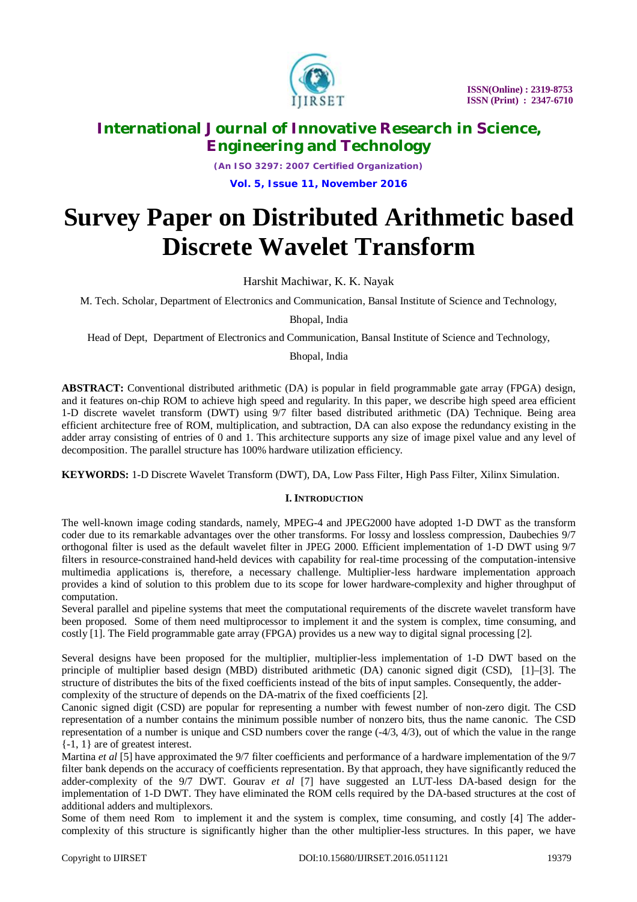

*(An ISO 3297: 2007 Certified Organization)* **Vol. 5, Issue 11, November 2016**

# **Survey Paper on Distributed Arithmetic based Discrete Wavelet Transform**

Harshit Machiwar, K. K. Nayak

M. Tech. Scholar, Department of Electronics and Communication, Bansal Institute of Science and Technology,

Bhopal, India

Head of Dept, Department of Electronics and Communication, Bansal Institute of Science and Technology,

Bhopal, India

**ABSTRACT:** Conventional distributed arithmetic (DA) is popular in field programmable gate array (FPGA) design, and it features on-chip ROM to achieve high speed and regularity. In this paper, we describe high speed area efficient 1-D discrete wavelet transform (DWT) using 9/7 filter based distributed arithmetic (DA) Technique. Being area efficient architecture free of ROM, multiplication, and subtraction, DA can also expose the redundancy existing in the adder array consisting of entries of 0 and 1. This architecture supports any size of image pixel value and any level of decomposition. The parallel structure has 100% hardware utilization efficiency.

**KEYWORDS:** 1-D Discrete Wavelet Transform (DWT), DA, Low Pass Filter, High Pass Filter, Xilinx Simulation.

### **I. INTRODUCTION**

The well-known image coding standards, namely, MPEG-4 and JPEG2000 have adopted 1-D DWT as the transform coder due to its remarkable advantages over the other transforms. For lossy and lossless compression, Daubechies 9/7 orthogonal filter is used as the default wavelet filter in JPEG 2000. Efficient implementation of 1-D DWT using 9/7 filters in resource-constrained hand-held devices with capability for real-time processing of the computation-intensive multimedia applications is, therefore, a necessary challenge. Multiplier-less hardware implementation approach provides a kind of solution to this problem due to its scope for lower hardware-complexity and higher throughput of computation.

Several parallel and pipeline systems that meet the computational requirements of the discrete wavelet transform have been proposed. Some of them need multiprocessor to implement it and the system is complex, time consuming, and costly [1]. The Field programmable gate array (FPGA) provides us a new way to digital signal processing [2].

Several designs have been proposed for the multiplier, multiplier-less implementation of 1-D DWT based on the principle of multiplier based design (MBD) distributed arithmetic (DA) canonic signed digit (CSD), [1]–[3]. The structure of distributes the bits of the fixed coefficients instead of the bits of input samples. Consequently, the addercomplexity of the structure of depends on the DA-matrix of the fixed coefficients [2].

Canonic signed digit (CSD) are popular for representing a number with fewest number of non-zero digit. The CSD representation of a number contains the minimum possible number of nonzero bits, thus the name canonic. The CSD representation of a number is unique and CSD numbers cover the range (-4/3, 4/3), out of which the value in the range {-1, 1} are of greatest interest.

Martina *et al* [5] have approximated the 9/7 filter coefficients and performance of a hardware implementation of the 9/7 filter bank depends on the accuracy of coefficients representation. By that approach, they have significantly reduced the adder-complexity of the 9/7 DWT. Gourav *et al* [7] have suggested an LUT-less DA-based design for the implementation of 1-D DWT. They have eliminated the ROM cells required by the DA-based structures at the cost of additional adders and multiplexors.

Some of them need Rom to implement it and the system is complex, time consuming, and costly [4] The addercomplexity of this structure is significantly higher than the other multiplier-less structures. In this paper, we have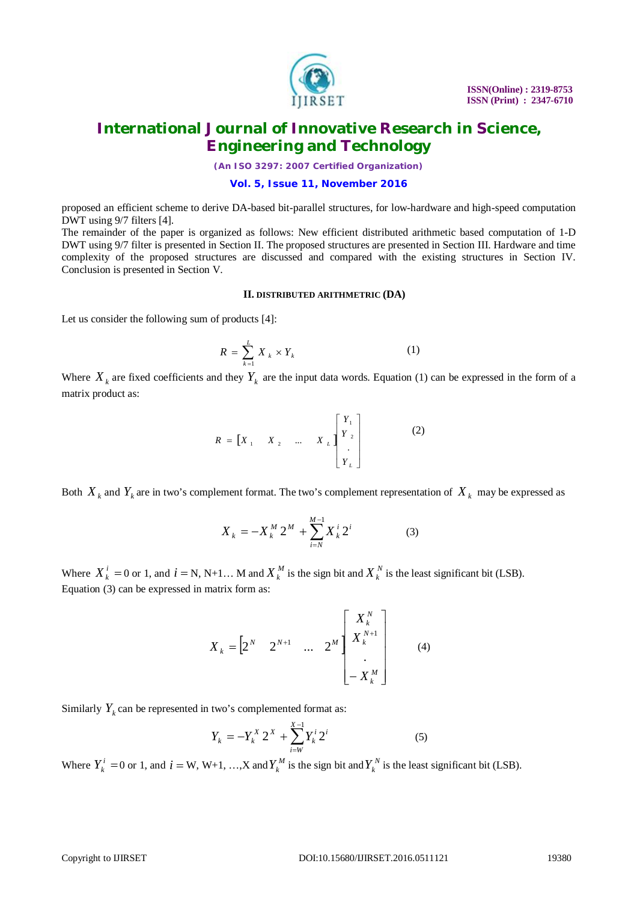

*(An ISO 3297: 2007 Certified Organization)*

### **Vol. 5, Issue 11, November 2016**

proposed an efficient scheme to derive DA-based bit-parallel structures, for low-hardware and high-speed computation DWT using 9/7 filters [4].

The remainder of the paper is organized as follows: New efficient distributed arithmetic based computation of 1-D DWT using 9/7 filter is presented in Section II. The proposed structures are presented in Section III. Hardware and time complexity of the proposed structures are discussed and compared with the existing structures in Section IV. Conclusion is presented in Section V.

#### **II. DISTRIBUTED ARITHMETRIC (DA)**

Let us consider the following sum of products [4]:

$$
R = \sum_{k=1}^{L} X_k \times Y_k \tag{1}
$$

Where  $X_k$  are fixed coefficients and they  $Y_k$  are the input data words. Equation (1) can be expressed in the form of a matrix product as:

$$
R = \begin{bmatrix} X_1 & X_2 & \dots & X_L \end{bmatrix} \begin{bmatrix} Y_1 \\ Y_2 \\ \vdots \\ Y_L \end{bmatrix}
$$
 (2)

Both  $X_k$  and  $Y_k$  are in two's complement format. The two's complement representation of  $X_k$  may be expressed as

$$
X_k = -X_k^M 2^M + \sum_{i=N}^{M-1} X_k^i 2^i \tag{3}
$$

Where  $X_k^i = 0$  or 1, and  $i = N, N+1...$  M and  $X_k^M$  is the sign bit and  $X_k^N$  is the least significant bit (LSB). Equation (3) can be expressed in matrix form as:

$$
X_{k} = \begin{bmatrix} 2^{N} & 2^{N+1} & \dots & 2^{M} \end{bmatrix} \begin{bmatrix} X_{k}^{N} \\ X_{k}^{N+1} \\ \vdots \\ X_{k}^{M} \end{bmatrix}
$$
 (4)

Similarly  $Y_k$  can be represented in two's complemented format as:

$$
Y_k = -Y_k^X 2^X + \sum_{i=W}^{X-1} Y_k^i 2^i
$$
 (5)

Where  $Y_k^i = 0$  or 1, and  $i = W, W+1, ..., X$  and  $Y_k^M$  is the sign bit and  $Y_k^N$  is the least significant bit (LSB).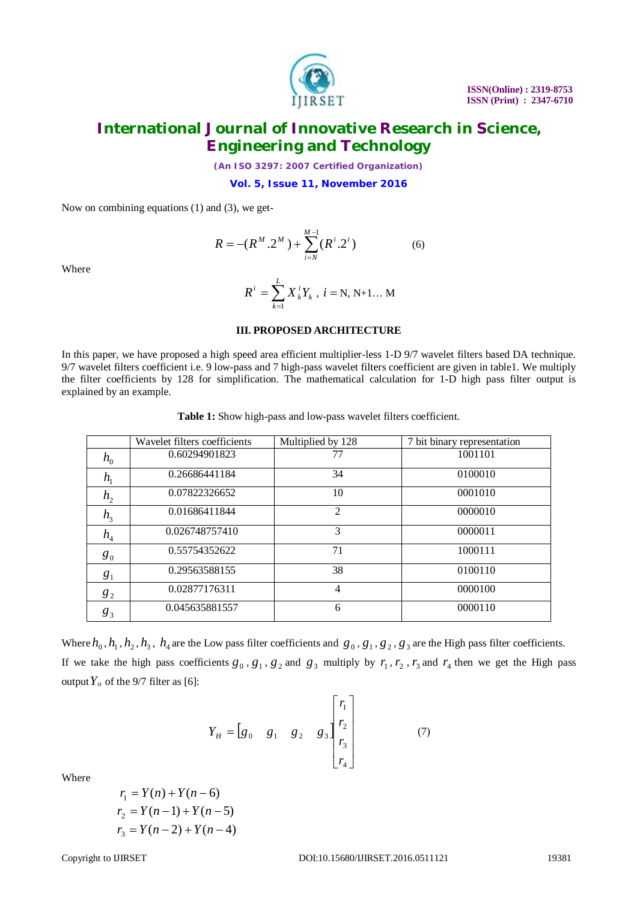

*(An ISO 3297: 2007 Certified Organization)*

**Vol. 5, Issue 11, November 2016**

Now on combining equations (1) and (3), we get-

$$
R = -(R^M \cdot 2^M) + \sum_{i=N}^{M-1} (R^i \cdot 2^i)
$$
 (6)

Where

$$
R^{i} = \sum_{k=1}^{L} X_{k}^{i} Y_{k}, i = N, N+1... M
$$

### **III. PROPOSED ARCHITECTURE**

In this paper, we have proposed a high speed area efficient multiplier-less 1-D 9/7 wavelet filters based DA technique. 9/7 wavelet filters coefficient i.e. 9 low-pass and 7 high-pass wavelet filters coefficient are given in table1. We multiply the filter coefficients by 128 for simplification. The mathematical calculation for 1-D high pass filter output is explained by an example.

**Table 1:** Show high-pass and low-pass wavelet filters coefficient.

|                            | Wavelet filters coefficients | Multiplied by 128 | 7 bit binary representation |
|----------------------------|------------------------------|-------------------|-----------------------------|
| $h_{0}$                    | 0.60294901823                | 77                | 1001101                     |
| $h_{1}$                    | 0.26686441184                | 34                | 0100010                     |
| h <sub>2</sub>             | 0.07822326652                | 10                | 0001010                     |
| h <sub>3</sub>             | 0.01686411844                | $\overline{2}$    | 0000010                     |
| $h_{\scriptscriptstyle 4}$ | 0.026748757410               | 3                 | 0000011                     |
| $g_0$                      | 0.55754352622                | 71                | 1000111                     |
| g <sub>1</sub>             | 0.29563588155                | 38                | 0100110                     |
| $g_2$                      | 0.02877176311                | 4                 | 0000100                     |
| $g_3$                      | 0.045635881557               | 6                 | 0000110                     |

Where  $h_0$ ,  $h_1$ ,  $h_2$ ,  $h_3$ ,  $h_4$  are the Low pass filter coefficients and  $g_0$ ,  $g_1$ ,  $g_2$ ,  $g_3$  are the High pass filter coefficients. If we take the high pass coefficients  $g_0$ ,  $g_1$ ,  $g_2$  and  $g_3$  multiply by  $r_1$ ,  $r_2$ ,  $r_3$  and  $r_4$  then we get the High pass output  $Y_H$  of the 9/7 filter as [6]:

$$
Y_{H} = \begin{bmatrix} g_{0} & g_{1} & g_{2} & g_{3} \end{bmatrix} \begin{bmatrix} r_{1} \\ r_{2} \\ r_{3} \\ r_{4} \end{bmatrix}
$$
 (7)

Where

 $r_1 = Y(n) + Y(n-6)$  $r_2 = Y(n-1) + Y(n-5)$  $r_2 = Y(n-2) + Y(n-4)$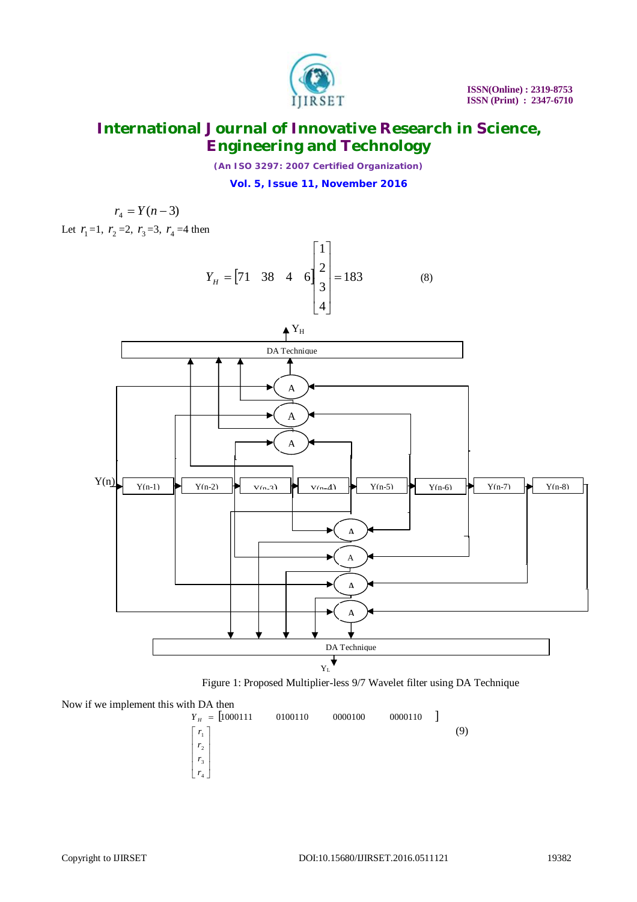

*(An ISO 3297: 2007 Certified Organization)* **Vol. 5, Issue 11, November 2016**

$$
r_4 = Y(n-3)
$$
  
Let  $r_1 = 1$ ,  $r_2 = 2$ ,  $r_3 = 3$ ,  $r_4 = 4$  then



Figure 1: Proposed Multiplier-less 9/7 Wavelet filter using DA Technique

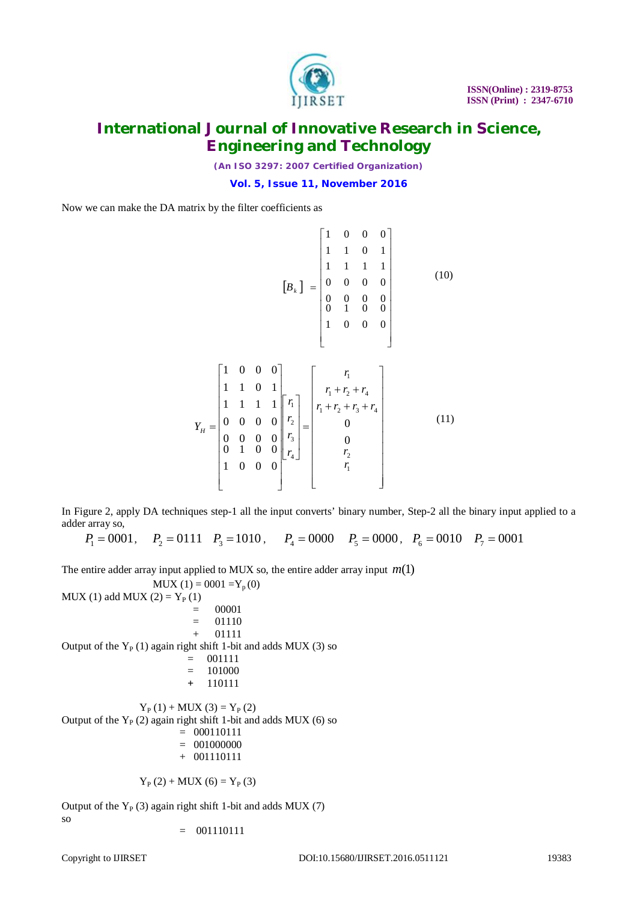

*(An ISO 3297: 2007 Certified Organization)*

**Vol. 5, Issue 11, November 2016**

Now we can make the DA matrix by the filter coefficients as

$$
\begin{bmatrix} 1 & 0 & 0 & 0 \ 1 & 1 & 0 & 1 \ 1 & 1 & 1 & 1 \ 0 & 0 & 0 & 0 \ 0 & 0 & 0 & 0 \ 0 & 1 & 0 & 0 \ 1 & 0 & 0 & 0 \end{bmatrix}
$$
 (10)

$$
Y_{H} = \begin{bmatrix} 1 & 0 & 0 & 0 \\ 1 & 1 & 0 & 1 \\ 1 & 1 & 1 & 1 \\ 0 & 0 & 0 & 0 \\ 0 & 0 & 0 & 0 \\ 0 & 1 & 0 & 0 \\ 1 & 0 & 0 & 0 \end{bmatrix} \begin{bmatrix} r_{1} \\ r_{2} \\ r_{3} \\ r_{4} \end{bmatrix} = \begin{bmatrix} r_{1} \\ r_{1} + r_{2} + r_{4} \\ r_{1} + r_{2} + r_{3} + r_{4} \\ 0 \\ 0 \\ r_{2} \\ r_{1} \\ r_{1} \end{bmatrix}
$$
 (11)

In Figure 2, apply DA techniques step-1 all the input converts' binary number, Step-2 all the binary input applied to a adder array so,

 $P_1 = 0001$ ,  $P_2 = 0111$   $P_3 = 1010$ ,  $P_4 = 0000$   $P_5 = 0000$ ,  $P_6 = 0010$   $P_7 = 0001$ 

The entire adder array input applied to MUX so, the entire adder array input  $m(1)$ 

 $MUX(1) = 0001 = Y_p(0)$ MUX (1) add MUX (2) =  $Y_P(1)$  = 00001  $= 01110$  + 01111 Output of the  $Y_P(1)$  again right shift 1-bit and adds MUX (3) so  $= 001111$  $= 101000$  **+** 110111  $Y_P(1) + MUX(3) = Y_P(2)$ Output of the  $Y_P(2)$  again right shift 1-bit and adds MUX (6) so  $= 000110111$ 

 $= 001000000$ + 001110111

$$
Y_{P}(2) + MUX(6) = Y_{P}(3)
$$

Output of the  $Y_P$  (3) again right shift 1-bit and adds MUX (7) so

 $= 001110111$